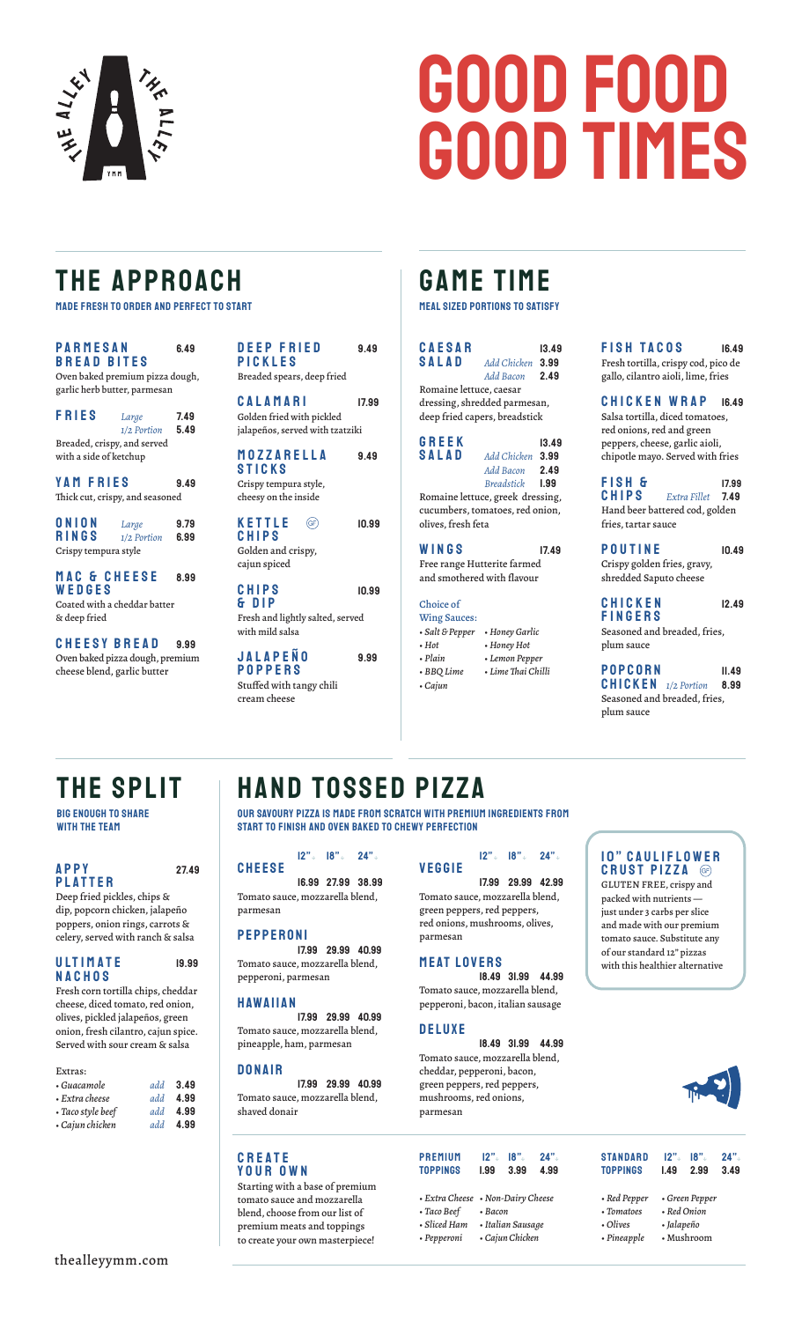

# GOOD FOOD GOOD TIMES

## THE APPROACH

made fresh to order and perfect to start

| <b>PARMESAN</b><br>6.49<br><b>BREAD BITES</b>                  |                      | <b>DEEP FRIED</b><br>9.49<br>PICKLES                |                                          |       |
|----------------------------------------------------------------|----------------------|-----------------------------------------------------|------------------------------------------|-------|
| Oven baked premium pizza dough,                                |                      |                                                     | Breaded spears, deep fried               |       |
| garlic herb butter, parmesan                                   |                      |                                                     | CALAMARI                                 | 17.99 |
| <b>FRIES</b>                                                   | Large                | 7.49                                                | Golden fried with pickled                |       |
|                                                                | 1/2 Portion          | 5.49                                                | jalapeños, served with tzatziki          |       |
| Breaded, crispy, and served                                    |                      |                                                     |                                          |       |
| with a side of ketchup                                         |                      |                                                     | MOZZARELLA<br><b>STICKS</b>              | 9.49  |
| YAM FRIES                                                      |                      | 9.49                                                | Crispy tempura style,                    |       |
| Thick cut, crispy, and seasoned                                |                      |                                                     | cheesy on the inside                     |       |
| <b>ONION</b><br><b>RINGS</b>                                   | Large<br>1/2 Portion | 9.79<br>6.99                                        | <b>KETTLE</b><br>(GF)<br><b>CHIPS</b>    | 10.99 |
| Crispy tempura style                                           |                      |                                                     | Golden and crispy,<br>cajun spiced       |       |
| MAC & CHEESE<br>WEDGES<br>Coated with a cheddar batter         |                      | 8.99                                                | <b>CHIPS</b><br>& DIP                    | 10.99 |
| & deep fried                                                   |                      | Fresh and lightly salted, served<br>with mild salsa |                                          |       |
| <b>CHEESY BREAD</b>                                            |                      | 9.99                                                |                                          |       |
| Oven baked pizza dough, premium<br>cheese blend, garlic butter |                      | <b>JALAPENO</b><br><b>POPPERS</b>                   | 9.99                                     |       |
|                                                                |                      |                                                     | Stuffed with tangy chili<br>cream cheese |       |
|                                                                |                      |                                                     |                                          |       |

### GAME TIME

#### meal sized portions to satisfy

| <b>CAESAR</b><br><b>SALAD</b><br>Romaine lettuce, caesar<br>dressing, shredded parmesan,<br>deep fried capers, breadstick | Add Chicken 3.99<br>Add Bacon                                         | 13.49<br>2.49                |
|---------------------------------------------------------------------------------------------------------------------------|-----------------------------------------------------------------------|------------------------------|
| GREEK<br><b>SALAD</b><br>Romaine lettuce, greek dressing,<br>cucumbers, tomatoes, red onion,<br>olives, fresh feta        | Add Chicken 3.99<br>Add Bacon<br><b>Breadstick</b>                    | 13.49<br>2.49<br><b>1.99</b> |
| WINGS<br>Free range Hutterite farmed<br>and smothered with flavour                                                        |                                                                       | 17.49                        |
| Choice of<br><b>Wing Sauces:</b><br>• Salt & Pepper<br>$\cdot$ Hot<br>• Plain<br>• BBQ Lime<br>• Cajun                    | • Honey Garlic<br>• Honey Hot<br>• Lemon Pepper<br>• Lime Thai Chilli |                              |

FISH TACOS 16.49 Fresh tortilla, crispy cod, pico de gallo, cilantro aioli, lime, fries

CHICKEN WRAP 16.49 Salsa tortilla, diced tomatoes, red onions, red and green peppers, cheese, garlic aioli, chipotle mayo. Served with fries

**FISH & 17.99**<br>**CHIPS** Extra Fillet 749 CHIPS *Extra Fillet* 7.49 Hand beer battered cod, golden fries, tartar sauce

POUTINE 10.49 Crispy golden fries, gravy, shredded Saputo cheese

 $CHICKEN$  12.49 Fingers Seasoned and breaded, fries, plum sauce

POPCORN II.49 chicken *1/2 Portion* 8.99 Seasoned and breaded, fries, plum sauce

## THE SPLIT

Big enough to share with the team

#### Appy 27.49 **PLATTER**

Deep fried pickles, chips & dip, popcorn chicken, jalapeño poppers, onion rings, carrots & celery, served with ranch & salsa



Fresh corn tortilla chips, cheddar cheese, diced tomato, red onion, olives, pickled jalapeños, green onion, fresh cilantro, cajun spice. Served with sour cream & salsa

#### Extras:

| • Guacamole          | $add$ 3.49 |
|----------------------|------------|
| $\cdot$ Extra cheese | add 4.99   |
| • Taco style beef    | add 4.99   |
| • Cajun chicken      | add 4.99   |

## Hand Tossed PIZZA

Our savoury pizza is made from scratch with premium ingredients from start to finish and oven baked to chewy perfection

#### 12"↓ 18"↓ 24"↓ **CHEESE**

16.99 27.99 38.99 Tomato sauce, mozzarella blend, parmesan

#### **PEPPERONI**

17.99 29.99 40.99 Tomato sauce, mozzarella blend, pepperoni, parmesan

#### Hawaiian

17.99 29.99 40.99 Tomato sauce, mozzarella blend, pineapple, ham, parmesan

#### DONAIR

17.99 29.99 40.99 Tomato sauce, mozzarella blend, shaved donair

#### CREATE YOUR Own

Starting with a base of premium tomato sauce and mozzarella blend, choose from our list of premium meats and toppings to create your own masterpiece!

|        | $12"$ $18"$ $24"$ |  |
|--------|-------------------|--|
| VEGGIE |                   |  |

17.99 29.99 42.99 Tomato sauce, mozzarella blend, green peppers, red peppers, red onions, mushrooms, olives, parmesan

#### Meat Lovers

18.49 31.99 44.99 Tomato sauce, mozzarella blend, pepperoni, bacon, italian sausage

#### Deluxe

18.49 31.99 44.99 Tomato sauce, mozzarella blend, cheddar, pepperoni, bacon, green peppers, red peppers, mushrooms, red onions, parmesan

#### **10" CAULIFLOWER** CRUST PIZZA <sup>@</sup>

GLUTEN FREE, crispy and packed with nutrients just under 3 carbs per slice and made with our premium tomato sauce. Substitute any of our standard 12" pizzas with this healthier alternative



| <b>PREMIUM</b>                                                                        | $12"$ .       | 18"                                  | 24"  | <b>STANDARD</b>                                       | 12"                       | 18".                         | 24"  |
|---------------------------------------------------------------------------------------|---------------|--------------------------------------|------|-------------------------------------------------------|---------------------------|------------------------------|------|
| <b>TOPPINGS</b>                                                                       | <b>1.99</b>   | 3.99                                 | 4.99 | <b>TOPPINGS</b>                                       | 1.49                      | 2.99                         | 3.49 |
| • Extra Cheese • Non-Dairy Cheese<br>• Taco Beef<br>$\cdot$ Sliced Ham<br>• Pepperoni | $\cdot$ Bacon | • Italian Sausage<br>• Cajun Chicken |      | • Red Pepper<br>• Tomatoes<br>• Olives<br>• Pineapple | • Red Onion<br>• Jalapeño | • Green Pepper<br>• Mushroom |      |